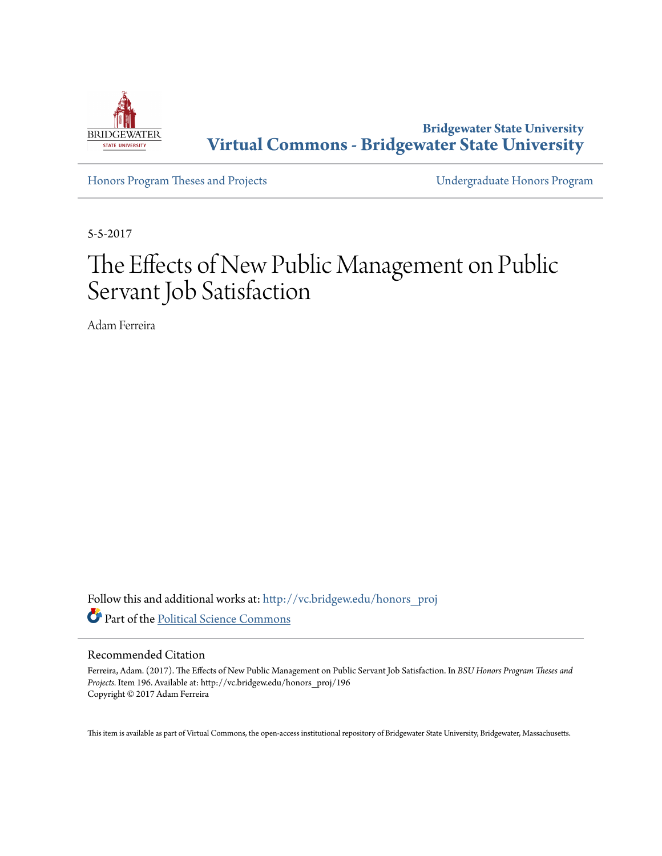

**Bridgewater State University [Virtual Commons - Bridgewater State University](http://vc.bridgew.edu?utm_source=vc.bridgew.edu%2Fhonors_proj%2F196&utm_medium=PDF&utm_campaign=PDFCoverPages)**

[Honors Program Theses and Projects](http://vc.bridgew.edu/honors_proj?utm_source=vc.bridgew.edu%2Fhonors_proj%2F196&utm_medium=PDF&utm_campaign=PDFCoverPages) [Undergraduate Honors Program](http://vc.bridgew.edu/honors?utm_source=vc.bridgew.edu%2Fhonors_proj%2F196&utm_medium=PDF&utm_campaign=PDFCoverPages)

5-5-2017

# The Effects of New Public Management on Public Servant Job Satisfaction

Adam Ferreira

Follow this and additional works at: [http://vc.bridgew.edu/honors\\_proj](http://vc.bridgew.edu/honors_proj?utm_source=vc.bridgew.edu%2Fhonors_proj%2F196&utm_medium=PDF&utm_campaign=PDFCoverPages) Part of the [Political Science Commons](http://network.bepress.com/hgg/discipline/386?utm_source=vc.bridgew.edu%2Fhonors_proj%2F196&utm_medium=PDF&utm_campaign=PDFCoverPages)

# Recommended Citation

Ferreira, Adam. (2017). The Effects of New Public Management on Public Servant Job Satisfaction. In *BSU Honors Program Theses and Projects.* Item 196. Available at: http://vc.bridgew.edu/honors\_proj/196 Copyright © 2017 Adam Ferreira

This item is available as part of Virtual Commons, the open-access institutional repository of Bridgewater State University, Bridgewater, Massachusetts.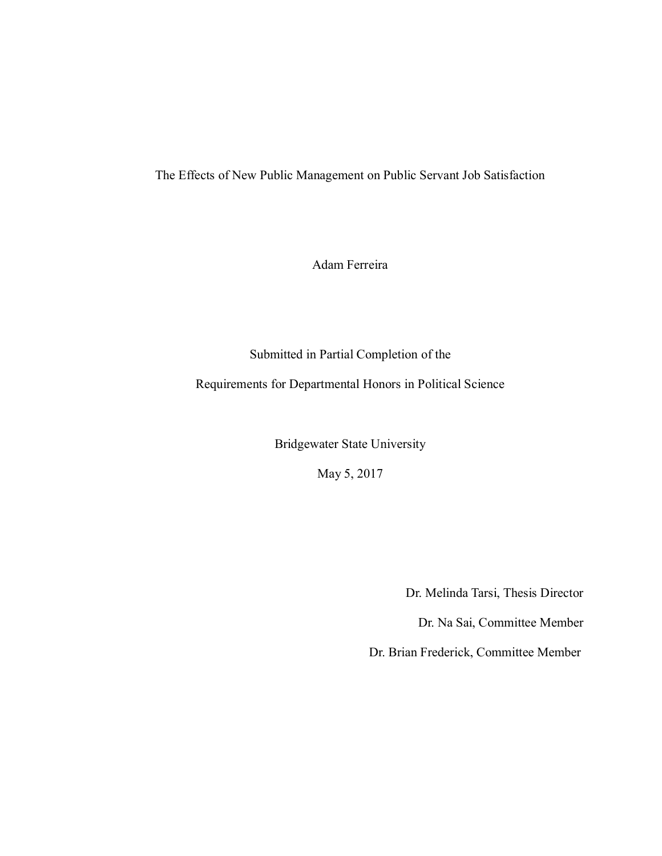The Effects of New Public Management on Public Servant Job Satisfaction

Adam Ferreira

Submitted in Partial Completion of the

Requirements for Departmental Honors in Political Science

Bridgewater State University

May 5, 2017

Dr. Melinda Tarsi, Thesis Director

Dr. Na Sai, Committee Member

Dr. Brian Frederick, Committee Member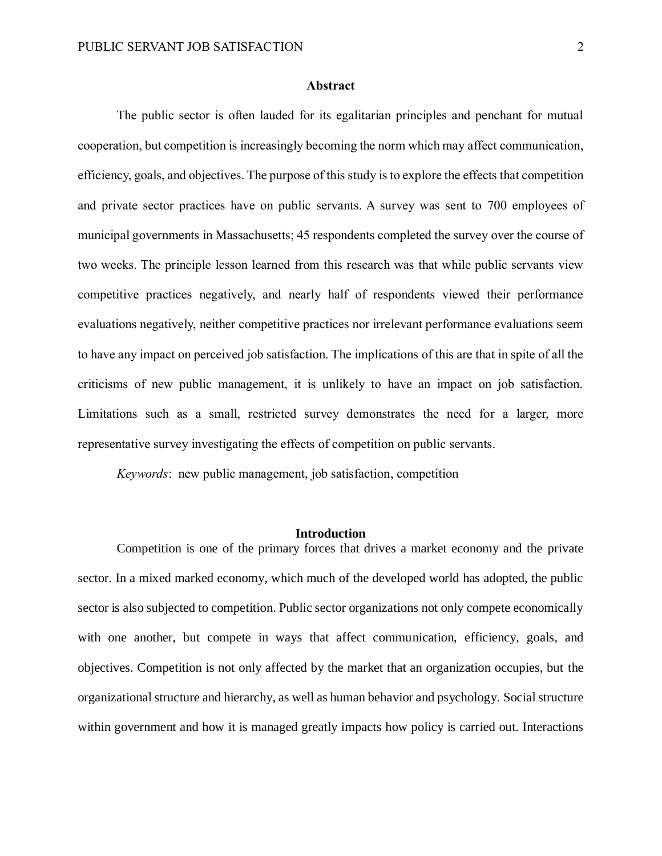# **Abstract**

The public sector is often lauded for its egalitarian principles and penchant for mutual cooperation, but competition is increasingly becoming the norm which may affect communication, efficiency, goals, and objectives. The purpose of this study is to explore the effects that competition and private sector practices have on public servants. A survey was sent to 700 employees of municipal governments in Massachusetts; 45 respondents completed the survey over the course of two weeks. The principle lesson learned from this research was that while public servants view competitive practices negatively, and nearly half of respondents viewed their performance evaluations negatively, neither competitive practices nor irrelevant performance evaluations seem to have any impact on perceived job satisfaction. The implications of this are that in spite of all the criticisms of new public management, it is unlikely to have an impact on job satisfaction. Limitations such as a small, restricted survey demonstrates the need for a larger, more representative survey investigating the effects of competition on public servants.

*Keywords*: new public management, job satisfaction, competition

# **Introduction**

Competition is one of the primary forces that drives a market economy and the private sector. In a mixed marked economy, which much of the developed world has adopted, the public sector is also subjected to competition. Public sector organizations not only compete economically with one another, but compete in ways that affect communication, efficiency, goals, and objectives. Competition is not only affected by the market that an organization occupies, but the organizational structure and hierarchy, as well as human behavior and psychology. Social structure within government and how it is managed greatly impacts how policy is carried out. Interactions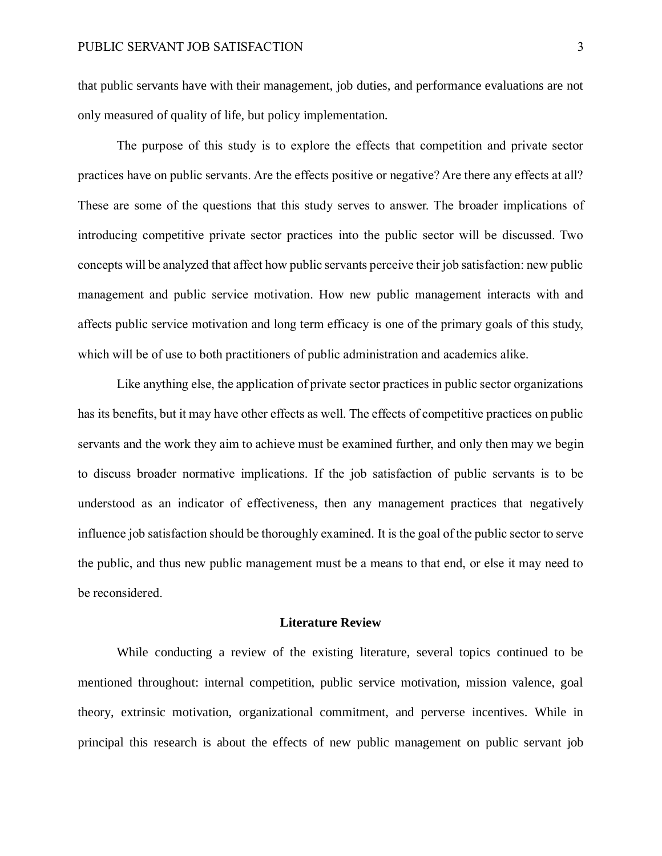that public servants have with their management, job duties, and performance evaluations are not only measured of quality of life, but policy implementation.

The purpose of this study is to explore the effects that competition and private sector practices have on public servants. Are the effects positive or negative? Are there any effects at all? These are some of the questions that this study serves to answer. The broader implications of introducing competitive private sector practices into the public sector will be discussed. Two concepts will be analyzed that affect how public servants perceive their job satisfaction: new public management and public service motivation. How new public management interacts with and affects public service motivation and long term efficacy is one of the primary goals of this study, which will be of use to both practitioners of public administration and academics alike.

Like anything else, the application of private sector practices in public sector organizations has its benefits, but it may have other effects as well. The effects of competitive practices on public servants and the work they aim to achieve must be examined further, and only then may we begin to discuss broader normative implications. If the job satisfaction of public servants is to be understood as an indicator of effectiveness, then any management practices that negatively influence job satisfaction should be thoroughly examined. It is the goal of the public sector to serve the public, and thus new public management must be a means to that end, or else it may need to be reconsidered.

### **Literature Review**

While conducting a review of the existing literature, several topics continued to be mentioned throughout: internal competition, public service motivation, mission valence, goal theory, extrinsic motivation, organizational commitment, and perverse incentives. While in principal this research is about the effects of new public management on public servant job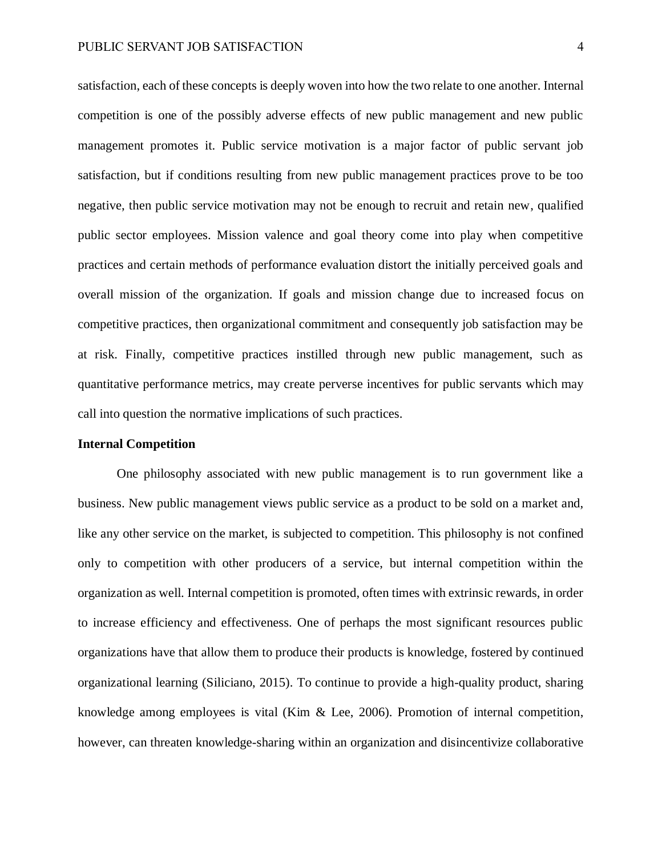satisfaction, each of these concepts is deeply woven into how the two relate to one another. Internal competition is one of the possibly adverse effects of new public management and new public management promotes it. Public service motivation is a major factor of public servant job satisfaction, but if conditions resulting from new public management practices prove to be too negative, then public service motivation may not be enough to recruit and retain new, qualified public sector employees. Mission valence and goal theory come into play when competitive practices and certain methods of performance evaluation distort the initially perceived goals and overall mission of the organization. If goals and mission change due to increased focus on competitive practices, then organizational commitment and consequently job satisfaction may be at risk. Finally, competitive practices instilled through new public management, such as quantitative performance metrics, may create perverse incentives for public servants which may call into question the normative implications of such practices.

#### **Internal Competition**

One philosophy associated with new public management is to run government like a business. New public management views public service as a product to be sold on a market and, like any other service on the market, is subjected to competition. This philosophy is not confined only to competition with other producers of a service, but internal competition within the organization as well. Internal competition is promoted, often times with extrinsic rewards, in order to increase efficiency and effectiveness. One of perhaps the most significant resources public organizations have that allow them to produce their products is knowledge, fostered by continued organizational learning (Siliciano, 2015). To continue to provide a high-quality product, sharing knowledge among employees is vital (Kim & Lee, 2006). Promotion of internal competition, however, can threaten knowledge-sharing within an organization and disincentivize collaborative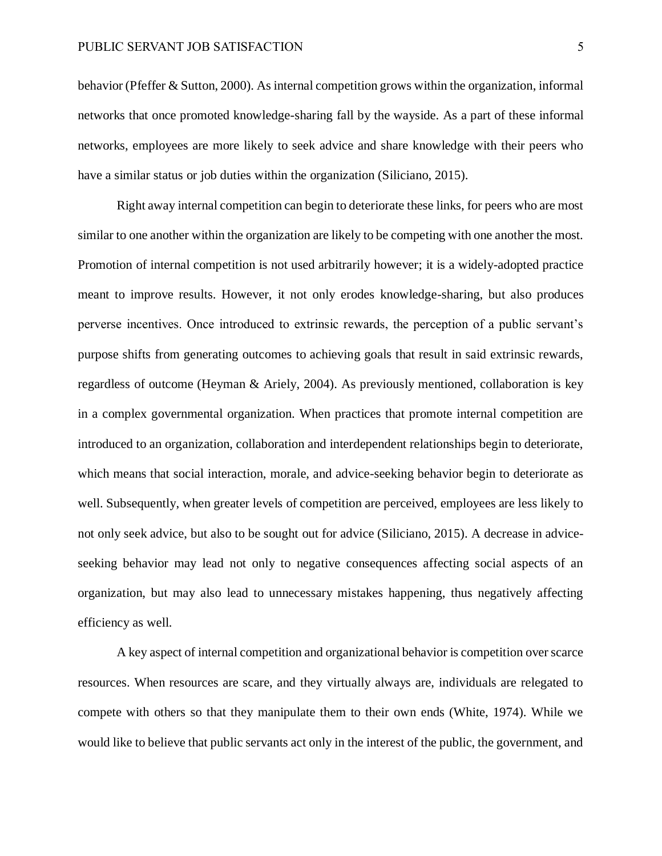behavior (Pfeffer & Sutton, 2000). As internal competition grows within the organization, informal networks that once promoted knowledge-sharing fall by the wayside. As a part of these informal networks, employees are more likely to seek advice and share knowledge with their peers who have a similar status or job duties within the organization (Siliciano, 2015).

Right away internal competition can begin to deteriorate these links, for peers who are most similar to one another within the organization are likely to be competing with one another the most. Promotion of internal competition is not used arbitrarily however; it is a widely-adopted practice meant to improve results. However, it not only erodes knowledge-sharing, but also produces perverse incentives. Once introduced to extrinsic rewards, the perception of a public servant's purpose shifts from generating outcomes to achieving goals that result in said extrinsic rewards, regardless of outcome (Heyman & Ariely, 2004). As previously mentioned, collaboration is key in a complex governmental organization. When practices that promote internal competition are introduced to an organization, collaboration and interdependent relationships begin to deteriorate, which means that social interaction, morale, and advice-seeking behavior begin to deteriorate as well. Subsequently, when greater levels of competition are perceived, employees are less likely to not only seek advice, but also to be sought out for advice (Siliciano, 2015). A decrease in adviceseeking behavior may lead not only to negative consequences affecting social aspects of an organization, but may also lead to unnecessary mistakes happening, thus negatively affecting efficiency as well.

A key aspect of internal competition and organizational behavior is competition over scarce resources. When resources are scare, and they virtually always are, individuals are relegated to compete with others so that they manipulate them to their own ends (White, 1974). While we would like to believe that public servants act only in the interest of the public, the government, and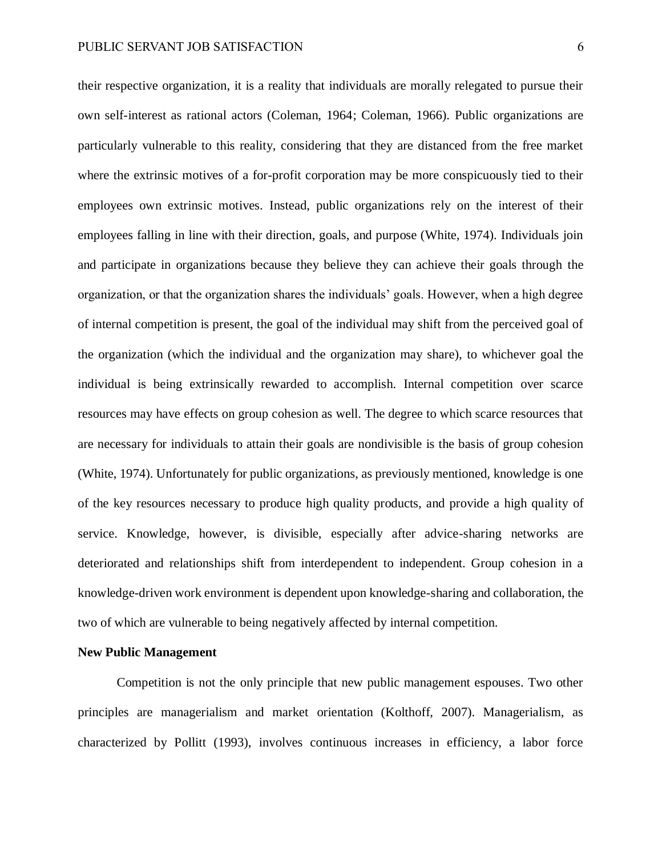their respective organization, it is a reality that individuals are morally relegated to pursue their own self-interest as rational actors (Coleman, 1964; Coleman, 1966). Public organizations are particularly vulnerable to this reality, considering that they are distanced from the free market where the extrinsic motives of a for-profit corporation may be more conspicuously tied to their employees own extrinsic motives. Instead, public organizations rely on the interest of their employees falling in line with their direction, goals, and purpose (White, 1974). Individuals join and participate in organizations because they believe they can achieve their goals through the organization, or that the organization shares the individuals' goals. However, when a high degree of internal competition is present, the goal of the individual may shift from the perceived goal of the organization (which the individual and the organization may share), to whichever goal the individual is being extrinsically rewarded to accomplish. Internal competition over scarce resources may have effects on group cohesion as well. The degree to which scarce resources that are necessary for individuals to attain their goals are nondivisible is the basis of group cohesion (White, 1974). Unfortunately for public organizations, as previously mentioned, knowledge is one of the key resources necessary to produce high quality products, and provide a high quality of service. Knowledge, however, is divisible, especially after advice-sharing networks are deteriorated and relationships shift from interdependent to independent. Group cohesion in a knowledge-driven work environment is dependent upon knowledge-sharing and collaboration, the two of which are vulnerable to being negatively affected by internal competition.

#### **New Public Management**

Competition is not the only principle that new public management espouses. Two other principles are managerialism and market orientation (Kolthoff, 2007). Managerialism, as characterized by Pollitt (1993), involves continuous increases in efficiency, a labor force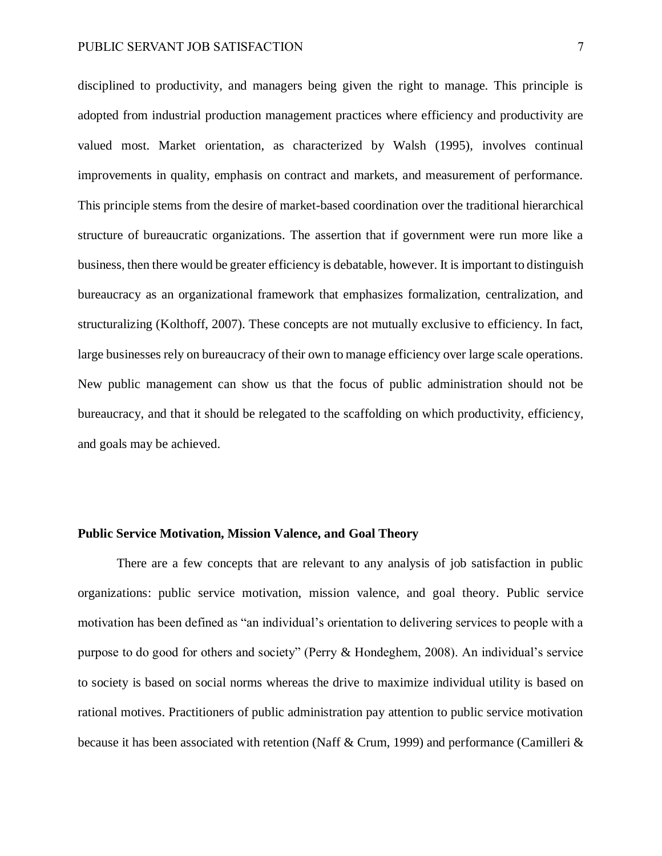disciplined to productivity, and managers being given the right to manage. This principle is adopted from industrial production management practices where efficiency and productivity are valued most. Market orientation, as characterized by Walsh (1995), involves continual improvements in quality, emphasis on contract and markets, and measurement of performance. This principle stems from the desire of market-based coordination over the traditional hierarchical structure of bureaucratic organizations. The assertion that if government were run more like a business, then there would be greater efficiency is debatable, however. It is important to distinguish bureaucracy as an organizational framework that emphasizes formalization, centralization, and structuralizing (Kolthoff, 2007). These concepts are not mutually exclusive to efficiency. In fact, large businesses rely on bureaucracy of their own to manage efficiency over large scale operations. New public management can show us that the focus of public administration should not be bureaucracy, and that it should be relegated to the scaffolding on which productivity, efficiency, and goals may be achieved.

#### **Public Service Motivation, Mission Valence, and Goal Theory**

There are a few concepts that are relevant to any analysis of job satisfaction in public organizations: public service motivation, mission valence, and goal theory. Public service motivation has been defined as "an individual's orientation to delivering services to people with a purpose to do good for others and society" (Perry & Hondeghem, 2008). An individual's service to society is based on social norms whereas the drive to maximize individual utility is based on rational motives. Practitioners of public administration pay attention to public service motivation because it has been associated with retention (Naff & Crum, 1999) and performance (Camilleri &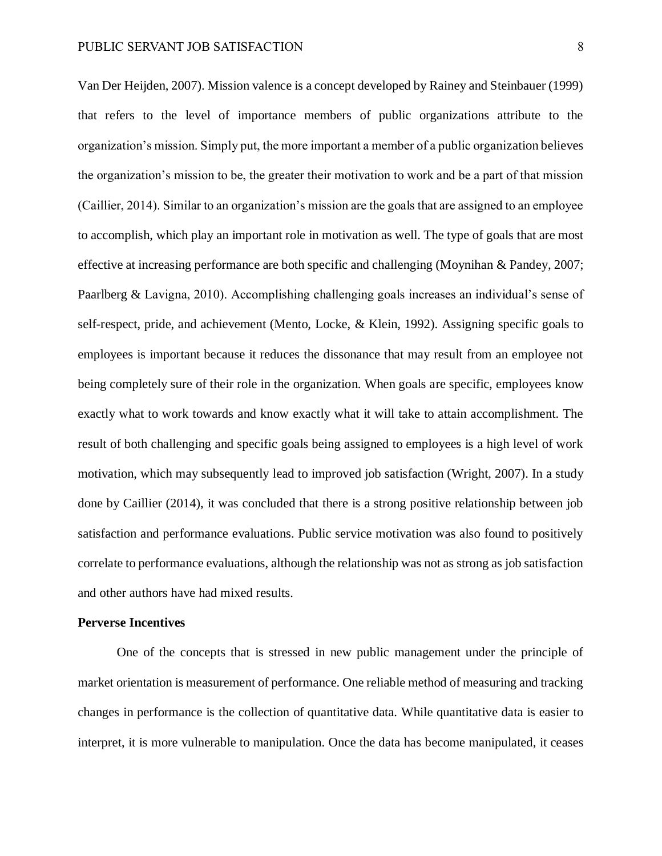Van Der Heijden, 2007). Mission valence is a concept developed by Rainey and Steinbauer (1999) that refers to the level of importance members of public organizations attribute to the organization's mission. Simply put, the more important a member of a public organization believes the organization's mission to be, the greater their motivation to work and be a part of that mission (Caillier, 2014). Similar to an organization's mission are the goals that are assigned to an employee to accomplish, which play an important role in motivation as well. The type of goals that are most effective at increasing performance are both specific and challenging (Moynihan & Pandey, 2007; Paarlberg & Lavigna, 2010). Accomplishing challenging goals increases an individual's sense of self-respect, pride, and achievement (Mento, Locke, & Klein, 1992). Assigning specific goals to employees is important because it reduces the dissonance that may result from an employee not being completely sure of their role in the organization. When goals are specific, employees know exactly what to work towards and know exactly what it will take to attain accomplishment. The result of both challenging and specific goals being assigned to employees is a high level of work motivation, which may subsequently lead to improved job satisfaction (Wright, 2007). In a study done by Caillier (2014), it was concluded that there is a strong positive relationship between job satisfaction and performance evaluations. Public service motivation was also found to positively correlate to performance evaluations, although the relationship was not as strong as job satisfaction and other authors have had mixed results.

### **Perverse Incentives**

One of the concepts that is stressed in new public management under the principle of market orientation is measurement of performance. One reliable method of measuring and tracking changes in performance is the collection of quantitative data. While quantitative data is easier to interpret, it is more vulnerable to manipulation. Once the data has become manipulated, it ceases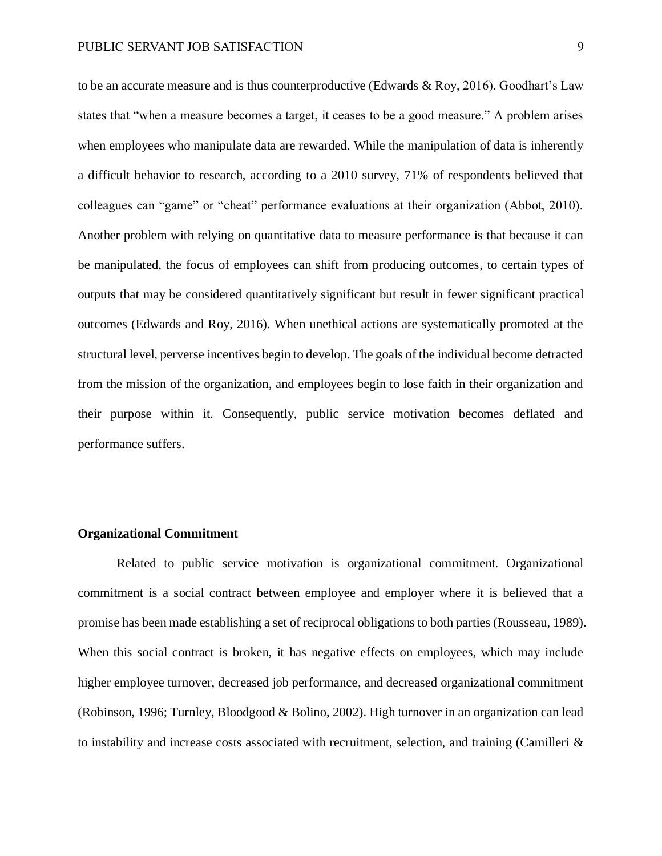to be an accurate measure and is thus counterproductive (Edwards & Roy, 2016). Goodhart's Law states that "when a measure becomes a target, it ceases to be a good measure." A problem arises when employees who manipulate data are rewarded. While the manipulation of data is inherently a difficult behavior to research, according to a 2010 survey, 71% of respondents believed that colleagues can "game" or "cheat" performance evaluations at their organization (Abbot, 2010). Another problem with relying on quantitative data to measure performance is that because it can be manipulated, the focus of employees can shift from producing outcomes, to certain types of outputs that may be considered quantitatively significant but result in fewer significant practical outcomes (Edwards and Roy, 2016). When unethical actions are systematically promoted at the structural level, perverse incentives begin to develop. The goals of the individual become detracted from the mission of the organization, and employees begin to lose faith in their organization and their purpose within it. Consequently, public service motivation becomes deflated and performance suffers.

# **Organizational Commitment**

Related to public service motivation is organizational commitment. Organizational commitment is a social contract between employee and employer where it is believed that a promise has been made establishing a set of reciprocal obligations to both parties (Rousseau, 1989). When this social contract is broken, it has negative effects on employees, which may include higher employee turnover, decreased job performance, and decreased organizational commitment (Robinson, 1996; Turnley, Bloodgood & Bolino, 2002). High turnover in an organization can lead to instability and increase costs associated with recruitment, selection, and training (Camilleri  $\&$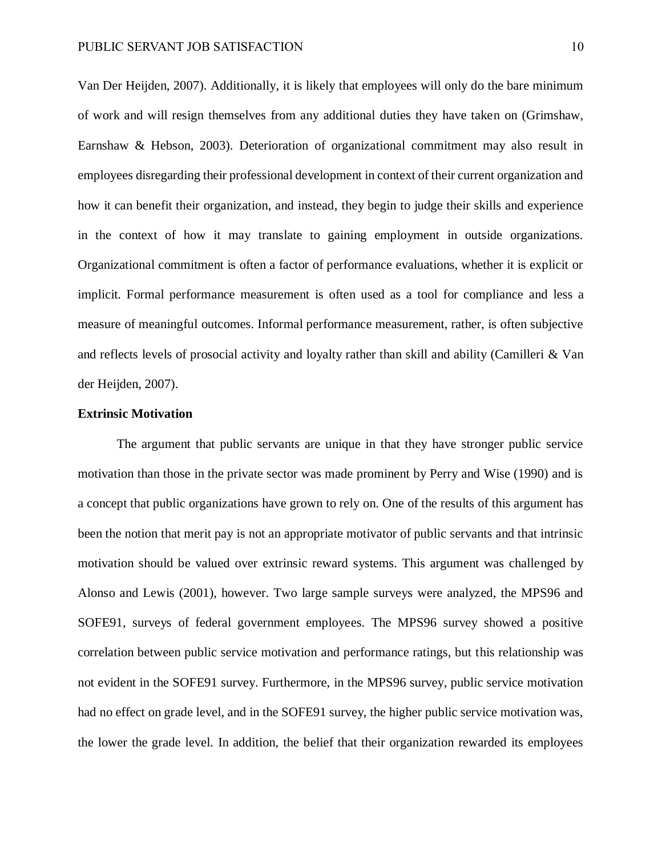Van Der Heijden, 2007). Additionally, it is likely that employees will only do the bare minimum of work and will resign themselves from any additional duties they have taken on (Grimshaw, Earnshaw & Hebson, 2003). Deterioration of organizational commitment may also result in employees disregarding their professional development in context of their current organization and how it can benefit their organization, and instead, they begin to judge their skills and experience in the context of how it may translate to gaining employment in outside organizations. Organizational commitment is often a factor of performance evaluations, whether it is explicit or implicit. Formal performance measurement is often used as a tool for compliance and less a measure of meaningful outcomes. Informal performance measurement, rather, is often subjective and reflects levels of prosocial activity and loyalty rather than skill and ability (Camilleri & Van der Heijden, 2007).

# **Extrinsic Motivation**

The argument that public servants are unique in that they have stronger public service motivation than those in the private sector was made prominent by Perry and Wise (1990) and is a concept that public organizations have grown to rely on. One of the results of this argument has been the notion that merit pay is not an appropriate motivator of public servants and that intrinsic motivation should be valued over extrinsic reward systems. This argument was challenged by Alonso and Lewis (2001), however. Two large sample surveys were analyzed, the MPS96 and SOFE91, surveys of federal government employees. The MPS96 survey showed a positive correlation between public service motivation and performance ratings, but this relationship was not evident in the SOFE91 survey. Furthermore, in the MPS96 survey, public service motivation had no effect on grade level, and in the SOFE91 survey, the higher public service motivation was, the lower the grade level. In addition, the belief that their organization rewarded its employees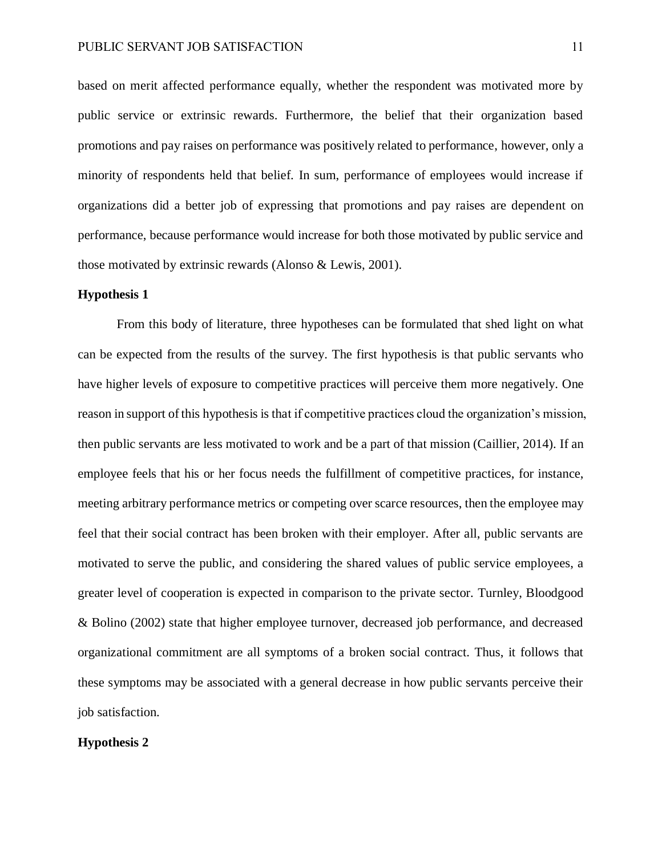based on merit affected performance equally, whether the respondent was motivated more by public service or extrinsic rewards. Furthermore, the belief that their organization based promotions and pay raises on performance was positively related to performance, however, only a minority of respondents held that belief. In sum, performance of employees would increase if organizations did a better job of expressing that promotions and pay raises are dependent on performance, because performance would increase for both those motivated by public service and those motivated by extrinsic rewards (Alonso & Lewis, 2001).

## **Hypothesis 1**

From this body of literature, three hypotheses can be formulated that shed light on what can be expected from the results of the survey. The first hypothesis is that public servants who have higher levels of exposure to competitive practices will perceive them more negatively. One reason in support of this hypothesis is that if competitive practices cloud the organization's mission, then public servants are less motivated to work and be a part of that mission (Caillier, 2014). If an employee feels that his or her focus needs the fulfillment of competitive practices, for instance, meeting arbitrary performance metrics or competing over scarce resources, then the employee may feel that their social contract has been broken with their employer. After all, public servants are motivated to serve the public, and considering the shared values of public service employees, a greater level of cooperation is expected in comparison to the private sector. Turnley, Bloodgood & Bolino (2002) state that higher employee turnover, decreased job performance, and decreased organizational commitment are all symptoms of a broken social contract. Thus, it follows that these symptoms may be associated with a general decrease in how public servants perceive their job satisfaction.

# **Hypothesis 2**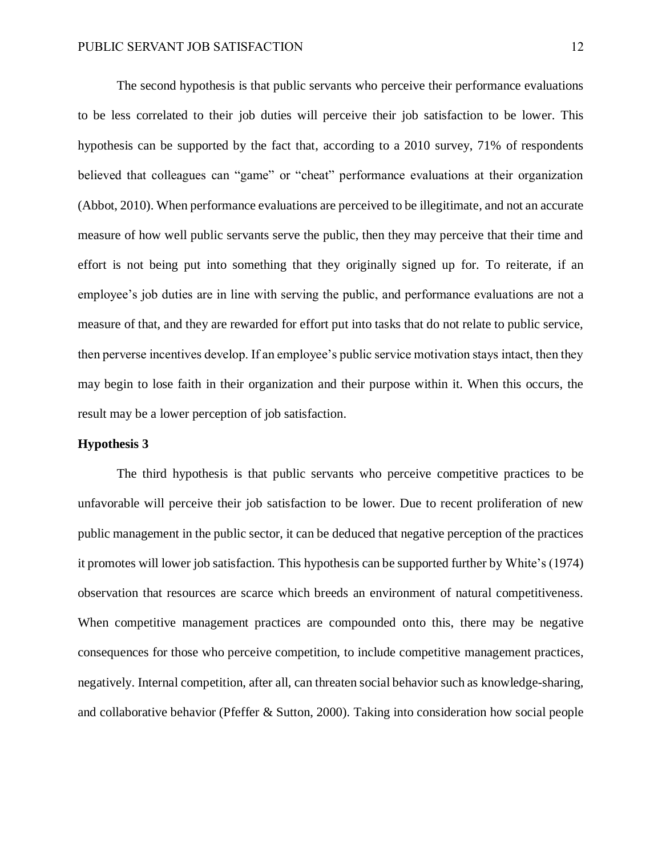The second hypothesis is that public servants who perceive their performance evaluations to be less correlated to their job duties will perceive their job satisfaction to be lower. This hypothesis can be supported by the fact that, according to a 2010 survey, 71% of respondents believed that colleagues can "game" or "cheat" performance evaluations at their organization (Abbot, 2010). When performance evaluations are perceived to be illegitimate, and not an accurate measure of how well public servants serve the public, then they may perceive that their time and effort is not being put into something that they originally signed up for. To reiterate, if an employee's job duties are in line with serving the public, and performance evaluations are not a measure of that, and they are rewarded for effort put into tasks that do not relate to public service, then perverse incentives develop. If an employee's public service motivation stays intact, then they may begin to lose faith in their organization and their purpose within it. When this occurs, the result may be a lower perception of job satisfaction.

#### **Hypothesis 3**

The third hypothesis is that public servants who perceive competitive practices to be unfavorable will perceive their job satisfaction to be lower. Due to recent proliferation of new public management in the public sector, it can be deduced that negative perception of the practices it promotes will lower job satisfaction. This hypothesis can be supported further by White's (1974) observation that resources are scarce which breeds an environment of natural competitiveness. When competitive management practices are compounded onto this, there may be negative consequences for those who perceive competition, to include competitive management practices, negatively. Internal competition, after all, can threaten social behavior such as knowledge-sharing, and collaborative behavior (Pfeffer & Sutton, 2000). Taking into consideration how social people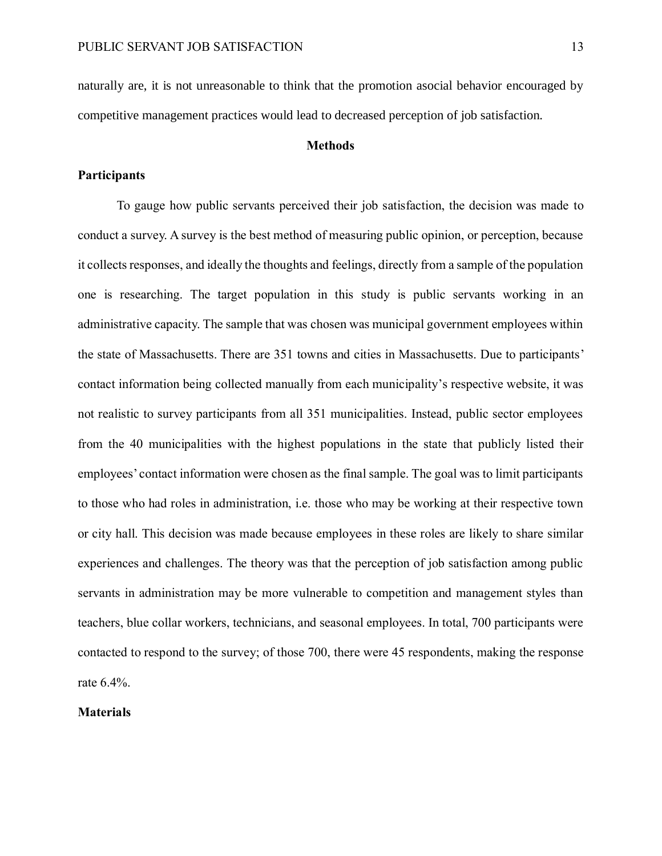naturally are, it is not unreasonable to think that the promotion asocial behavior encouraged by competitive management practices would lead to decreased perception of job satisfaction.

# **Methods**

# **Participants**

To gauge how public servants perceived their job satisfaction, the decision was made to conduct a survey. A survey is the best method of measuring public opinion, or perception, because it collects responses, and ideally the thoughts and feelings, directly from a sample of the population one is researching. The target population in this study is public servants working in an administrative capacity. The sample that was chosen was municipal government employees within the state of Massachusetts. There are 351 towns and cities in Massachusetts. Due to participants' contact information being collected manually from each municipality's respective website, it was not realistic to survey participants from all 351 municipalities. Instead, public sector employees from the 40 municipalities with the highest populations in the state that publicly listed their employees' contact information were chosen as the final sample. The goal was to limit participants to those who had roles in administration, i.e. those who may be working at their respective town or city hall. This decision was made because employees in these roles are likely to share similar experiences and challenges. The theory was that the perception of job satisfaction among public servants in administration may be more vulnerable to competition and management styles than teachers, blue collar workers, technicians, and seasonal employees. In total, 700 participants were contacted to respond to the survey; of those 700, there were 45 respondents, making the response rate 6.4%.

# **Materials**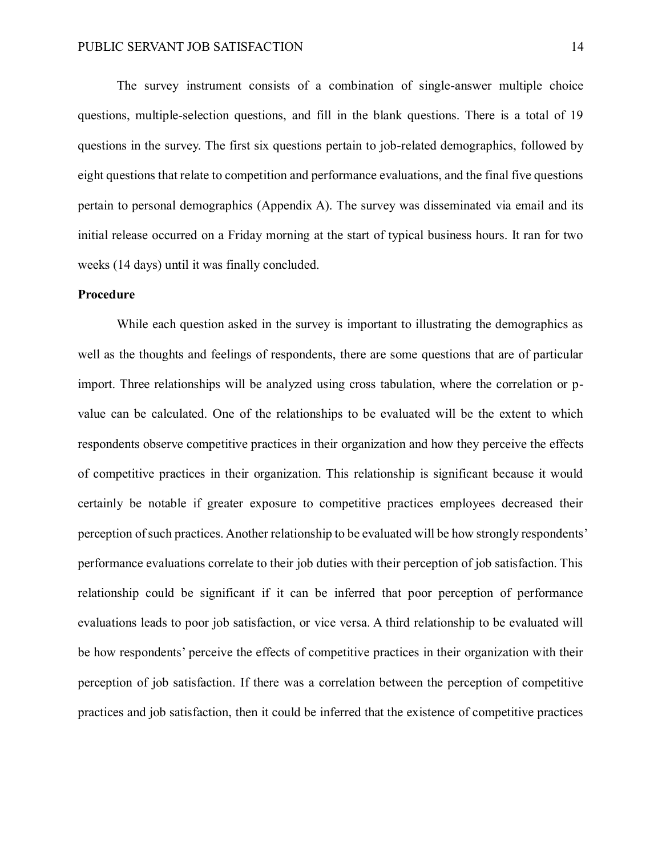The survey instrument consists of a combination of single-answer multiple choice questions, multiple-selection questions, and fill in the blank questions. There is a total of 19 questions in the survey. The first six questions pertain to job-related demographics, followed by eight questions that relate to competition and performance evaluations, and the final five questions pertain to personal demographics (Appendix A). The survey was disseminated via email and its initial release occurred on a Friday morning at the start of typical business hours. It ran for two weeks (14 days) until it was finally concluded.

## **Procedure**

While each question asked in the survey is important to illustrating the demographics as well as the thoughts and feelings of respondents, there are some questions that are of particular import. Three relationships will be analyzed using cross tabulation, where the correlation or pvalue can be calculated. One of the relationships to be evaluated will be the extent to which respondents observe competitive practices in their organization and how they perceive the effects of competitive practices in their organization. This relationship is significant because it would certainly be notable if greater exposure to competitive practices employees decreased their perception of such practices. Another relationship to be evaluated will be how strongly respondents' performance evaluations correlate to their job duties with their perception of job satisfaction. This relationship could be significant if it can be inferred that poor perception of performance evaluations leads to poor job satisfaction, or vice versa. A third relationship to be evaluated will be how respondents' perceive the effects of competitive practices in their organization with their perception of job satisfaction. If there was a correlation between the perception of competitive practices and job satisfaction, then it could be inferred that the existence of competitive practices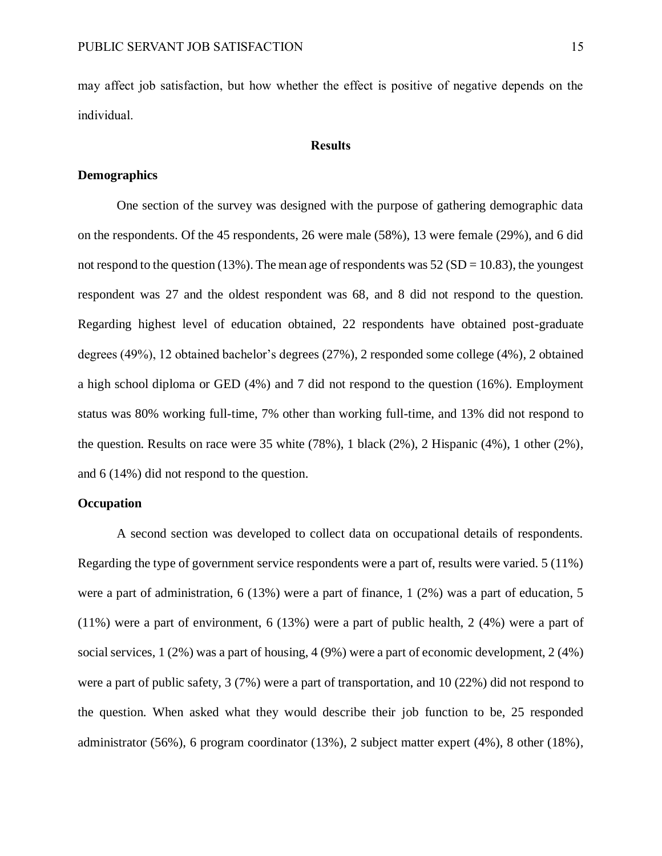may affect job satisfaction, but how whether the effect is positive of negative depends on the individual.

### **Results**

# **Demographics**

One section of the survey was designed with the purpose of gathering demographic data on the respondents. Of the 45 respondents, 26 were male (58%), 13 were female (29%), and 6 did not respond to the question (13%). The mean age of respondents was  $52(SD = 10.83)$ , the youngest respondent was 27 and the oldest respondent was 68, and 8 did not respond to the question. Regarding highest level of education obtained, 22 respondents have obtained post-graduate degrees (49%), 12 obtained bachelor's degrees (27%), 2 responded some college (4%), 2 obtained a high school diploma or GED (4%) and 7 did not respond to the question (16%). Employment status was 80% working full-time, 7% other than working full-time, and 13% did not respond to the question. Results on race were 35 white (78%), 1 black (2%), 2 Hispanic (4%), 1 other (2%), and 6 (14%) did not respond to the question.

# **Occupation**

A second section was developed to collect data on occupational details of respondents. Regarding the type of government service respondents were a part of, results were varied. 5 (11%) were a part of administration, 6 (13%) were a part of finance, 1 (2%) was a part of education, 5 (11%) were a part of environment, 6 (13%) were a part of public health, 2 (4%) were a part of social services, 1 (2%) was a part of housing, 4 (9%) were a part of economic development, 2 (4%) were a part of public safety, 3 (7%) were a part of transportation, and 10 (22%) did not respond to the question. When asked what they would describe their job function to be, 25 responded administrator (56%), 6 program coordinator (13%), 2 subject matter expert (4%), 8 other (18%),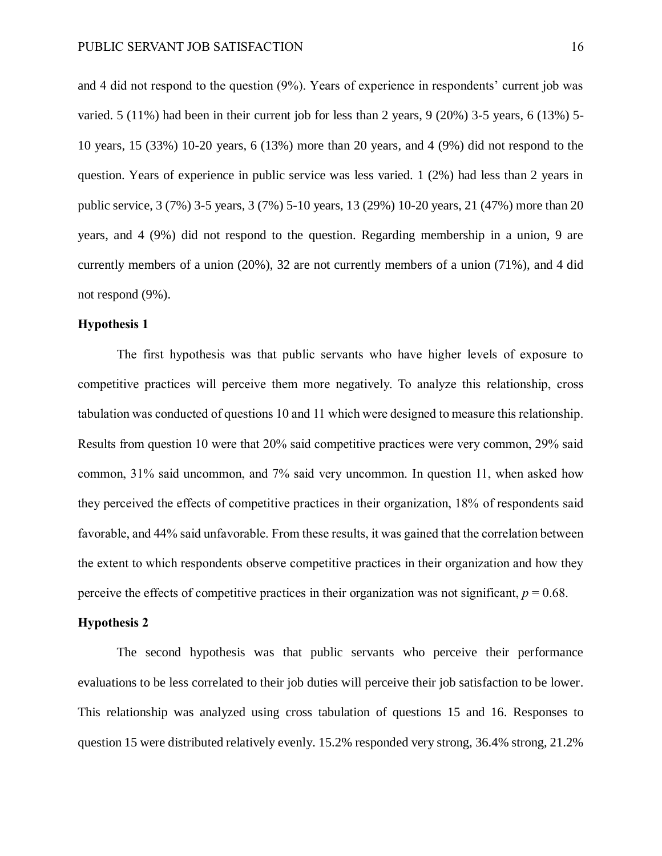and 4 did not respond to the question (9%). Years of experience in respondents' current job was varied. 5 (11%) had been in their current job for less than 2 years, 9 (20%) 3-5 years, 6 (13%) 5- 10 years, 15 (33%) 10-20 years, 6 (13%) more than 20 years, and 4 (9%) did not respond to the question. Years of experience in public service was less varied. 1 (2%) had less than 2 years in public service, 3 (7%) 3-5 years, 3 (7%) 5-10 years, 13 (29%) 10-20 years, 21 (47%) more than 20 years, and 4 (9%) did not respond to the question. Regarding membership in a union, 9 are currently members of a union (20%), 32 are not currently members of a union (71%), and 4 did not respond (9%).

# **Hypothesis 1**

The first hypothesis was that public servants who have higher levels of exposure to competitive practices will perceive them more negatively. To analyze this relationship, cross tabulation was conducted of questions 10 and 11 which were designed to measure this relationship. Results from question 10 were that 20% said competitive practices were very common, 29% said common, 31% said uncommon, and 7% said very uncommon. In question 11, when asked how they perceived the effects of competitive practices in their organization, 18% of respondents said favorable, and 44% said unfavorable. From these results, it was gained that the correlation between the extent to which respondents observe competitive practices in their organization and how they perceive the effects of competitive practices in their organization was not significant,  $p = 0.68$ .

#### **Hypothesis 2**

The second hypothesis was that public servants who perceive their performance evaluations to be less correlated to their job duties will perceive their job satisfaction to be lower. This relationship was analyzed using cross tabulation of questions 15 and 16. Responses to question 15 were distributed relatively evenly. 15.2% responded very strong, 36.4% strong, 21.2%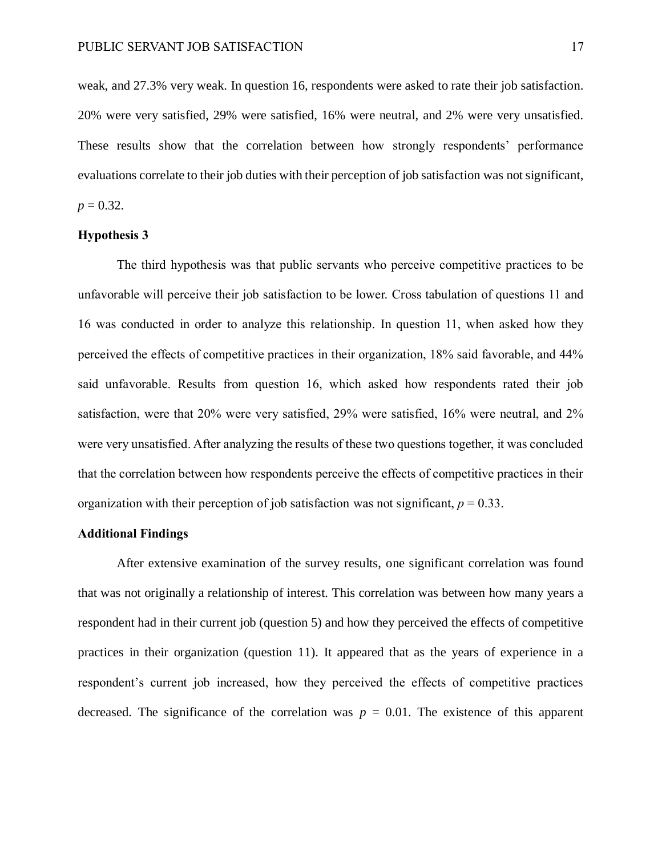weak, and 27.3% very weak. In question 16, respondents were asked to rate their job satisfaction. 20% were very satisfied, 29% were satisfied, 16% were neutral, and 2% were very unsatisfied. These results show that the correlation between how strongly respondents' performance evaluations correlate to their job duties with their perception of job satisfaction was not significant,  $p = 0.32$ .

#### **Hypothesis 3**

The third hypothesis was that public servants who perceive competitive practices to be unfavorable will perceive their job satisfaction to be lower. Cross tabulation of questions 11 and 16 was conducted in order to analyze this relationship. In question 11, when asked how they perceived the effects of competitive practices in their organization, 18% said favorable, and 44% said unfavorable. Results from question 16, which asked how respondents rated their job satisfaction, were that 20% were very satisfied, 29% were satisfied, 16% were neutral, and 2% were very unsatisfied. After analyzing the results of these two questions together, it was concluded that the correlation between how respondents perceive the effects of competitive practices in their organization with their perception of job satisfaction was not significant,  $p = 0.33$ .

# **Additional Findings**

After extensive examination of the survey results, one significant correlation was found that was not originally a relationship of interest. This correlation was between how many years a respondent had in their current job (question 5) and how they perceived the effects of competitive practices in their organization (question 11). It appeared that as the years of experience in a respondent's current job increased, how they perceived the effects of competitive practices decreased. The significance of the correlation was  $p = 0.01$ . The existence of this apparent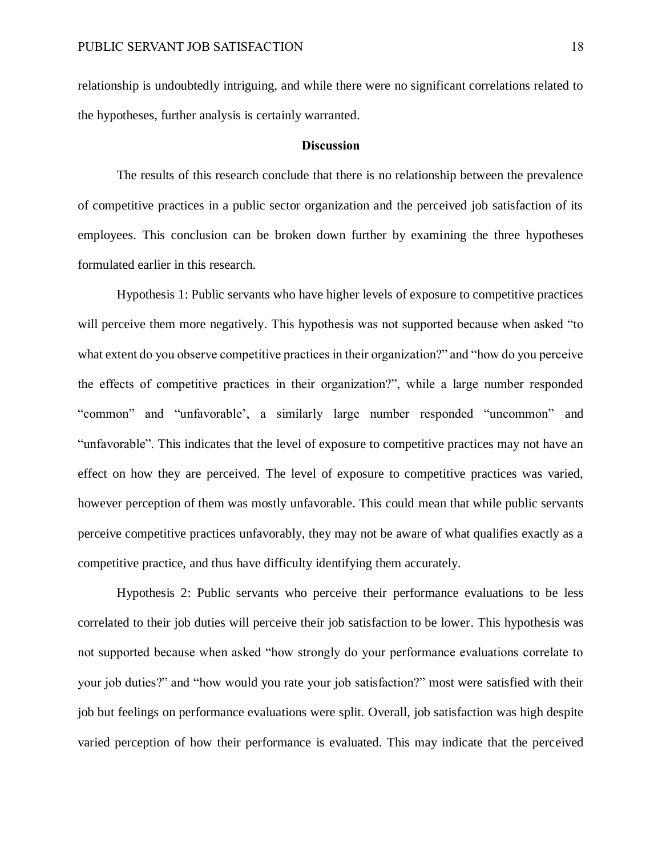relationship is undoubtedly intriguing, and while there were no significant correlations related to the hypotheses, further analysis is certainly warranted.

## **Discussion**

The results of this research conclude that there is no relationship between the prevalence of competitive practices in a public sector organization and the perceived job satisfaction of its employees. This conclusion can be broken down further by examining the three hypotheses formulated earlier in this research.

Hypothesis 1: Public servants who have higher levels of exposure to competitive practices will perceive them more negatively. This hypothesis was not supported because when asked "to what extent do you observe competitive practices in their organization?" and "how do you perceive the effects of competitive practices in their organization?", while a large number responded "common" and "unfavorable', a similarly large number responded "uncommon" and "unfavorable". This indicates that the level of exposure to competitive practices may not have an effect on how they are perceived. The level of exposure to competitive practices was varied, however perception of them was mostly unfavorable. This could mean that while public servants perceive competitive practices unfavorably, they may not be aware of what qualifies exactly as a competitive practice, and thus have difficulty identifying them accurately.

Hypothesis 2: Public servants who perceive their performance evaluations to be less correlated to their job duties will perceive their job satisfaction to be lower. This hypothesis was not supported because when asked "how strongly do your performance evaluations correlate to your job duties?" and "how would you rate your job satisfaction?" most were satisfied with their job but feelings on performance evaluations were split. Overall, job satisfaction was high despite varied perception of how their performance is evaluated. This may indicate that the perceived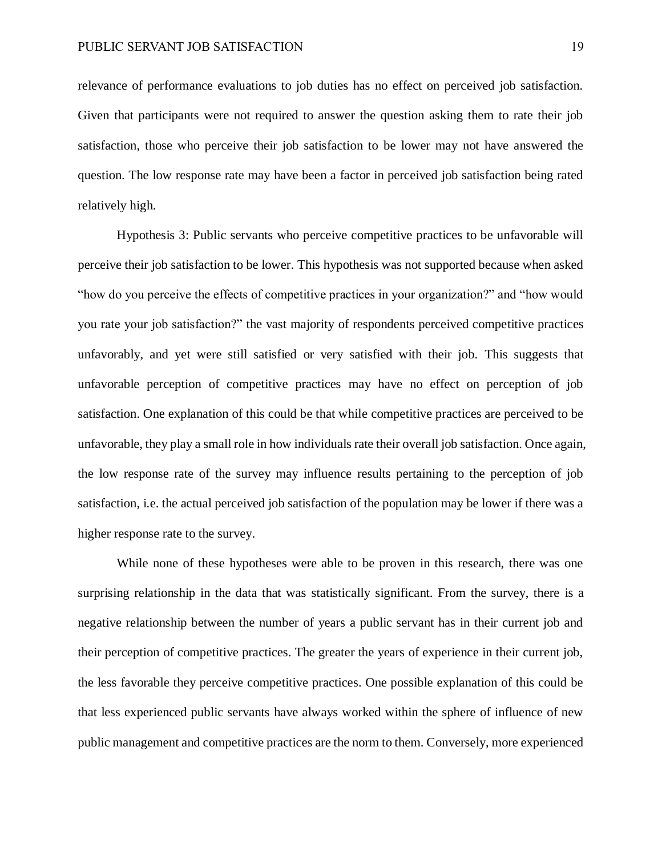relevance of performance evaluations to job duties has no effect on perceived job satisfaction. Given that participants were not required to answer the question asking them to rate their job satisfaction, those who perceive their job satisfaction to be lower may not have answered the question. The low response rate may have been a factor in perceived job satisfaction being rated relatively high.

Hypothesis 3: Public servants who perceive competitive practices to be unfavorable will perceive their job satisfaction to be lower. This hypothesis was not supported because when asked "how do you perceive the effects of competitive practices in your organization?" and "how would you rate your job satisfaction?" the vast majority of respondents perceived competitive practices unfavorably, and yet were still satisfied or very satisfied with their job. This suggests that unfavorable perception of competitive practices may have no effect on perception of job satisfaction. One explanation of this could be that while competitive practices are perceived to be unfavorable, they play a small role in how individuals rate their overall job satisfaction. Once again, the low response rate of the survey may influence results pertaining to the perception of job satisfaction, i.e. the actual perceived job satisfaction of the population may be lower if there was a higher response rate to the survey.

While none of these hypotheses were able to be proven in this research, there was one surprising relationship in the data that was statistically significant. From the survey, there is a negative relationship between the number of years a public servant has in their current job and their perception of competitive practices. The greater the years of experience in their current job, the less favorable they perceive competitive practices. One possible explanation of this could be that less experienced public servants have always worked within the sphere of influence of new public management and competitive practices are the norm to them. Conversely, more experienced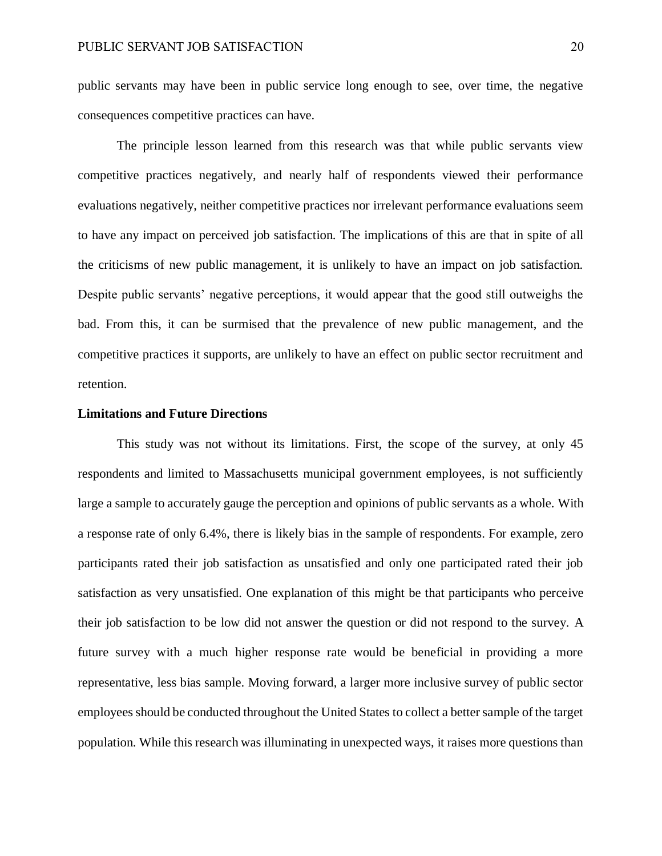public servants may have been in public service long enough to see, over time, the negative consequences competitive practices can have.

The principle lesson learned from this research was that while public servants view competitive practices negatively, and nearly half of respondents viewed their performance evaluations negatively, neither competitive practices nor irrelevant performance evaluations seem to have any impact on perceived job satisfaction. The implications of this are that in spite of all the criticisms of new public management, it is unlikely to have an impact on job satisfaction. Despite public servants' negative perceptions, it would appear that the good still outweighs the bad. From this, it can be surmised that the prevalence of new public management, and the competitive practices it supports, are unlikely to have an effect on public sector recruitment and retention.

# **Limitations and Future Directions**

This study was not without its limitations. First, the scope of the survey, at only 45 respondents and limited to Massachusetts municipal government employees, is not sufficiently large a sample to accurately gauge the perception and opinions of public servants as a whole. With a response rate of only 6.4%, there is likely bias in the sample of respondents. For example, zero participants rated their job satisfaction as unsatisfied and only one participated rated their job satisfaction as very unsatisfied. One explanation of this might be that participants who perceive their job satisfaction to be low did not answer the question or did not respond to the survey. A future survey with a much higher response rate would be beneficial in providing a more representative, less bias sample. Moving forward, a larger more inclusive survey of public sector employees should be conducted throughout the United States to collect a better sample of the target population. While this research was illuminating in unexpected ways, it raises more questions than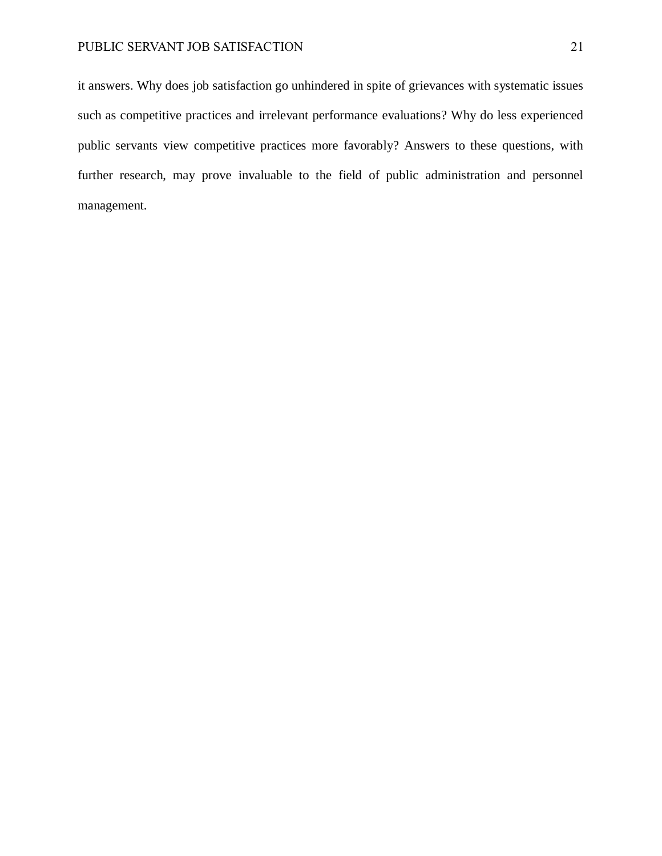it answers. Why does job satisfaction go unhindered in spite of grievances with systematic issues such as competitive practices and irrelevant performance evaluations? Why do less experienced public servants view competitive practices more favorably? Answers to these questions, with further research, may prove invaluable to the field of public administration and personnel management.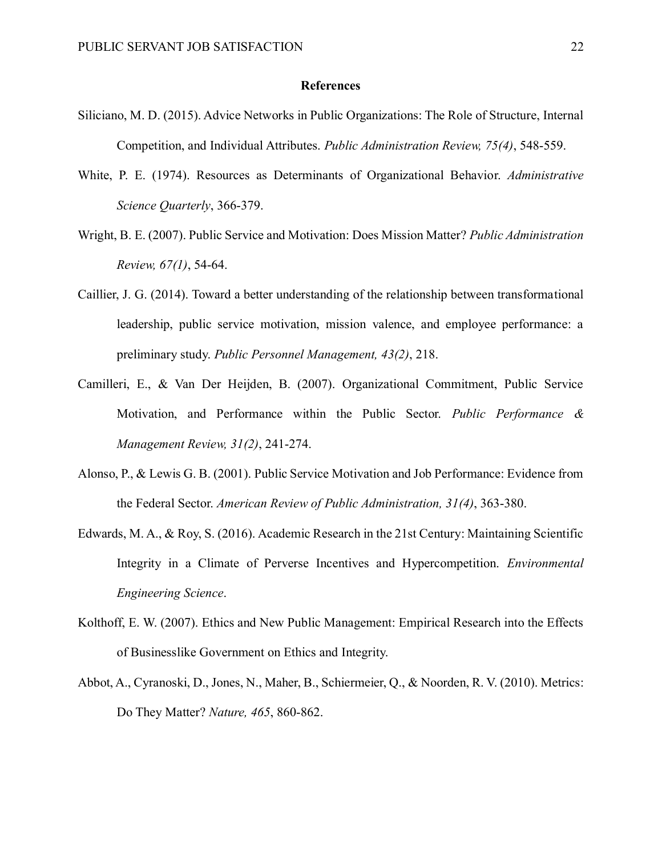# **References**

- Siliciano, M. D. (2015). Advice Networks in Public Organizations: The Role of Structure, Internal Competition, and Individual Attributes. *Public Administration Review, 75(4)*, 548-559.
- White, P. E. (1974). Resources as Determinants of Organizational Behavior. *Administrative Science Quarterly*, 366-379.
- Wright, B. E. (2007). Public Service and Motivation: Does Mission Matter? *Public Administration Review, 67(1)*, 54-64.
- Caillier, J. G. (2014). Toward a better understanding of the relationship between transformational leadership, public service motivation, mission valence, and employee performance: a preliminary study. *Public Personnel Management, 43(2)*, 218.
- Camilleri, E., & Van Der Heijden, B. (2007). Organizational Commitment, Public Service Motivation, and Performance within the Public Sector. *Public Performance & Management Review, 31(2)*, 241-274.
- Alonso, P., & Lewis G. B. (2001). Public Service Motivation and Job Performance: Evidence from the Federal Sector. *American Review of Public Administration, 31(4)*, 363-380.
- Edwards, M. A., & Roy, S. (2016). Academic Research in the 21st Century: Maintaining Scientific Integrity in a Climate of Perverse Incentives and Hypercompetition. *Environmental Engineering Science*.
- Kolthoff, E. W. (2007). Ethics and New Public Management: Empirical Research into the Effects of Businesslike Government on Ethics and Integrity.
- Abbot, A., Cyranoski, D., Jones, N., Maher, B., Schiermeier, Q., & Noorden, R. V. (2010). Metrics: Do They Matter? *Nature, 465*, 860-862.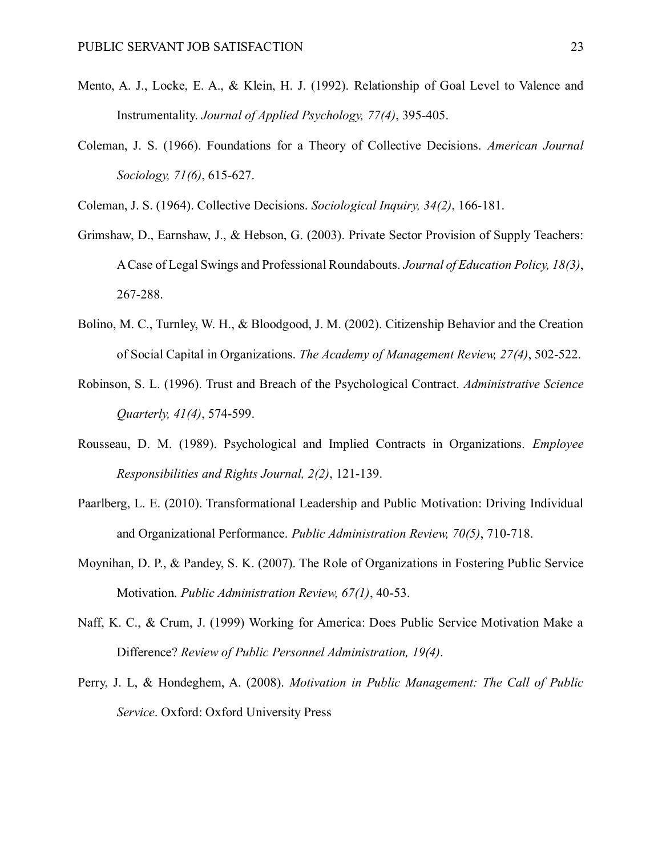- Mento, A. J., Locke, E. A., & Klein, H. J. (1992). Relationship of Goal Level to Valence and Instrumentality. *Journal of Applied Psychology, 77(4)*, 395-405.
- Coleman, J. S. (1966). Foundations for a Theory of Collective Decisions. *American Journal Sociology, 71(6)*, 615-627.
- Coleman, J. S. (1964). Collective Decisions. *Sociological Inquiry, 34(2)*, 166-181.
- Grimshaw, D., Earnshaw, J., & Hebson, G. (2003). Private Sector Provision of Supply Teachers: A Case of Legal Swings and Professional Roundabouts. *Journal of Education Policy, 18(3)*, 267-288.
- Bolino, M. C., Turnley, W. H., & Bloodgood, J. M. (2002). Citizenship Behavior and the Creation of Social Capital in Organizations. *The Academy of Management Review, 27(4)*, 502-522.
- Robinson, S. L. (1996). Trust and Breach of the Psychological Contract. *Administrative Science Quarterly, 41(4)*, 574-599.
- Rousseau, D. M. (1989). Psychological and Implied Contracts in Organizations. *Employee Responsibilities and Rights Journal, 2(2)*, 121-139.
- Paarlberg, L. E. (2010). Transformational Leadership and Public Motivation: Driving Individual and Organizational Performance. *Public Administration Review, 70(5)*, 710-718.
- Moynihan, D. P., & Pandey, S. K. (2007). The Role of Organizations in Fostering Public Service Motivation. *Public Administration Review, 67(1)*, 40-53.
- Naff, K. C., & Crum, J. (1999) Working for America: Does Public Service Motivation Make a Difference? *Review of Public Personnel Administration, 19(4)*.
- Perry, J. L, & Hondeghem, A. (2008). *Motivation in Public Management: The Call of Public Service*. Oxford: Oxford University Press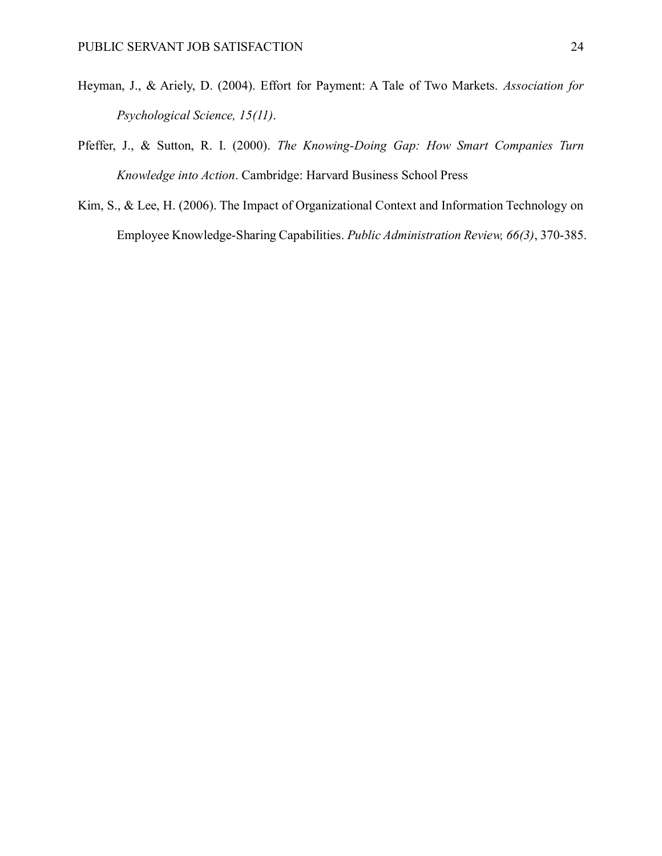- Heyman, J., & Ariely, D. (2004). Effort for Payment: A Tale of Two Markets. *Association for Psychological Science, 15(11)*.
- Pfeffer, J., & Sutton, R. I. (2000). *The Knowing-Doing Gap: How Smart Companies Turn Knowledge into Action*. Cambridge: Harvard Business School Press
- Kim, S., & Lee, H. (2006). The Impact of Organizational Context and Information Technology on Employee Knowledge-Sharing Capabilities. *Public Administration Review, 66(3)*, 370-385.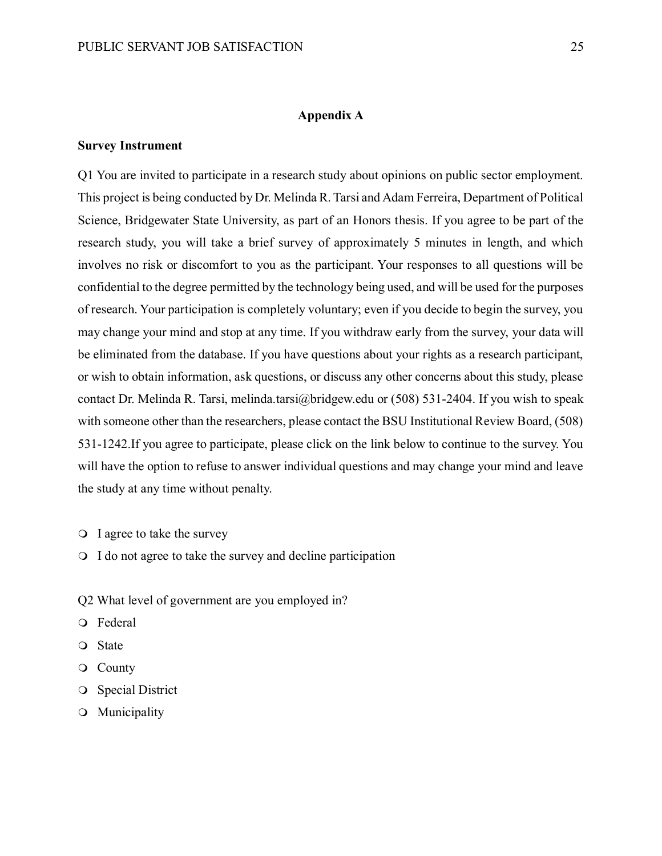# **Appendix A**

# **Survey Instrument**

Q1 You are invited to participate in a research study about opinions on public sector employment. This project is being conducted by Dr. Melinda R. Tarsi and Adam Ferreira, Department of Political Science, Bridgewater State University, as part of an Honors thesis. If you agree to be part of the research study, you will take a brief survey of approximately 5 minutes in length, and which involves no risk or discomfort to you as the participant. Your responses to all questions will be confidential to the degree permitted by the technology being used, and will be used for the purposes of research. Your participation is completely voluntary; even if you decide to begin the survey, you may change your mind and stop at any time. If you withdraw early from the survey, your data will be eliminated from the database. If you have questions about your rights as a research participant, or wish to obtain information, ask questions, or discuss any other concerns about this study, please contact Dr. Melinda R. Tarsi, melinda.tarsi@bridgew.edu or (508) 531-2404. If you wish to speak with someone other than the researchers, please contact the BSU Institutional Review Board, (508) 531-1242.If you agree to participate, please click on the link below to continue to the survey. You will have the option to refuse to answer individual questions and may change your mind and leave the study at any time without penalty.

- I agree to take the survey
- I do not agree to take the survey and decline participation
- Q2 What level of government are you employed in?
- Federal
- State
- County
- **O** Special District
- Municipality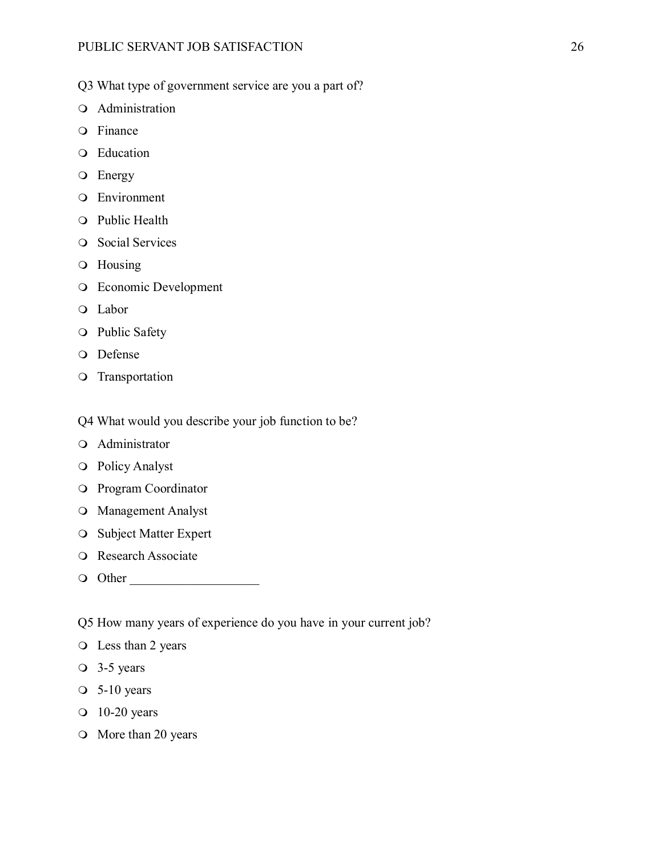- Q3 What type of government service are you a part of?
- Administration
- Finance
- Education
- **O** Energy
- Environment
- Public Health
- **O** Social Services
- Housing
- Economic Development
- Labor
- Public Safety
- Defense
- O Transportation

# Q4 What would you describe your job function to be?

- Administrator
- Policy Analyst
- Program Coordinator
- Management Analyst
- O Subject Matter Expert
- O Research Associate
- Other \_\_\_\_\_\_\_\_\_\_\_\_\_\_\_\_\_\_\_\_

Q5 How many years of experience do you have in your current job?

- Less than 2 years
- 3-5 years
- $\circ$  5-10 years
- 10-20 years
- O More than 20 years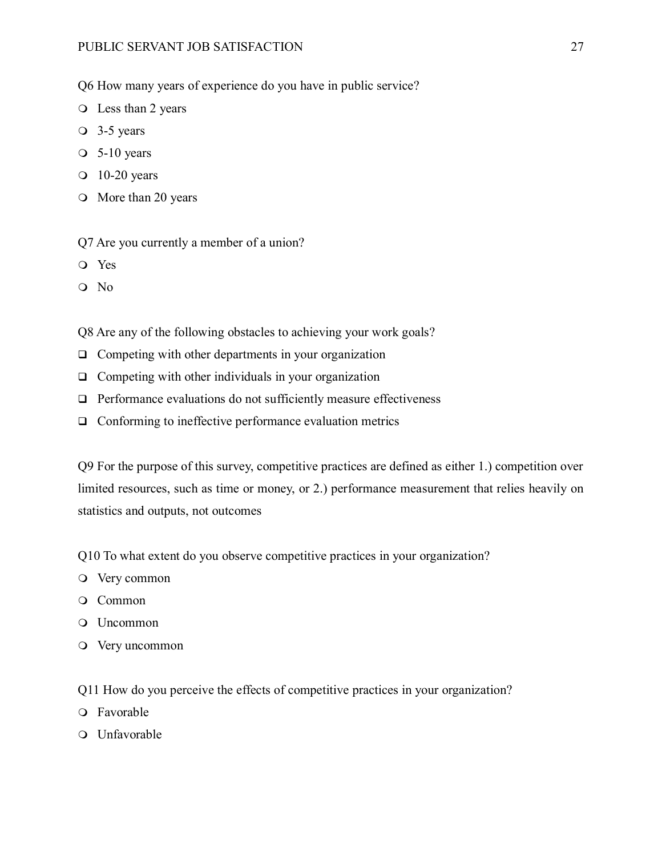Q6 How many years of experience do you have in public service?

- Less than 2 years
- 3-5 years
- $\circ$  5-10 years
- $\Omega$  10-20 years
- O More than 20 years

Q7 Are you currently a member of a union?

- Yes
- Q No

Q8 Are any of the following obstacles to achieving your work goals?

- $\Box$  Competing with other departments in your organization
- $\Box$  Competing with other individuals in your organization
- $\Box$  Performance evaluations do not sufficiently measure effectiveness
- $\Box$  Conforming to ineffective performance evaluation metrics

Q9 For the purpose of this survey, competitive practices are defined as either 1.) competition over limited resources, such as time or money, or 2.) performance measurement that relies heavily on statistics and outputs, not outcomes

Q10 To what extent do you observe competitive practices in your organization?

- Very common
- Common
- Uncommon
- Very uncommon
- Q11 How do you perceive the effects of competitive practices in your organization?
- Favorable
- Unfavorable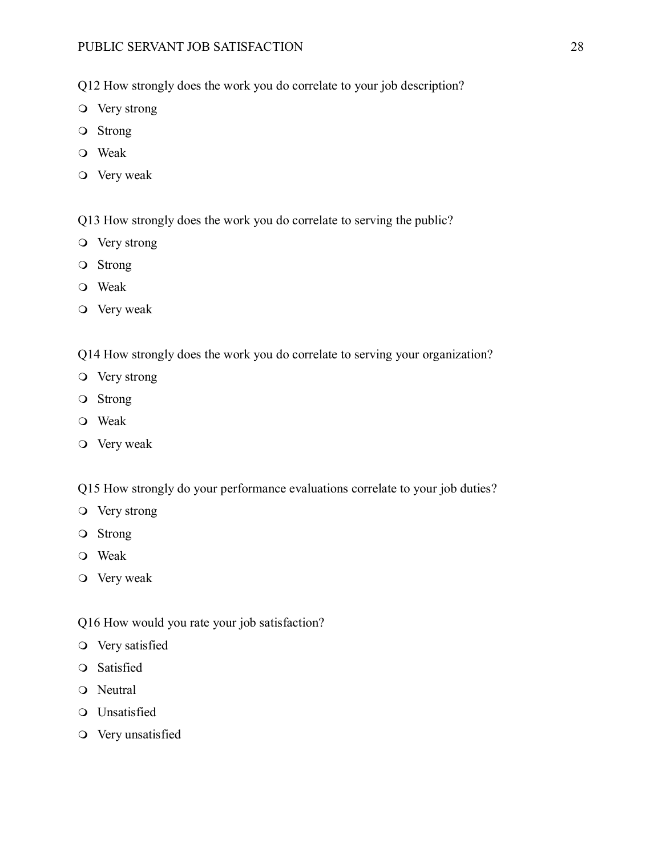Q12 How strongly does the work you do correlate to your job description?

- Very strong
- Strong
- Weak
- Very weak
- Q13 How strongly does the work you do correlate to serving the public?
- Very strong
- Strong
- Weak
- Very weak
- Q14 How strongly does the work you do correlate to serving your organization?
- Very strong
- Strong
- Weak
- Very weak
- Q15 How strongly do your performance evaluations correlate to your job duties?
- Very strong
- Strong
- Weak
- Very weak
- Q16 How would you rate your job satisfaction?
- Very satisfied
- Satisfied
- O Neutral
- Unsatisfied
- Very unsatisfied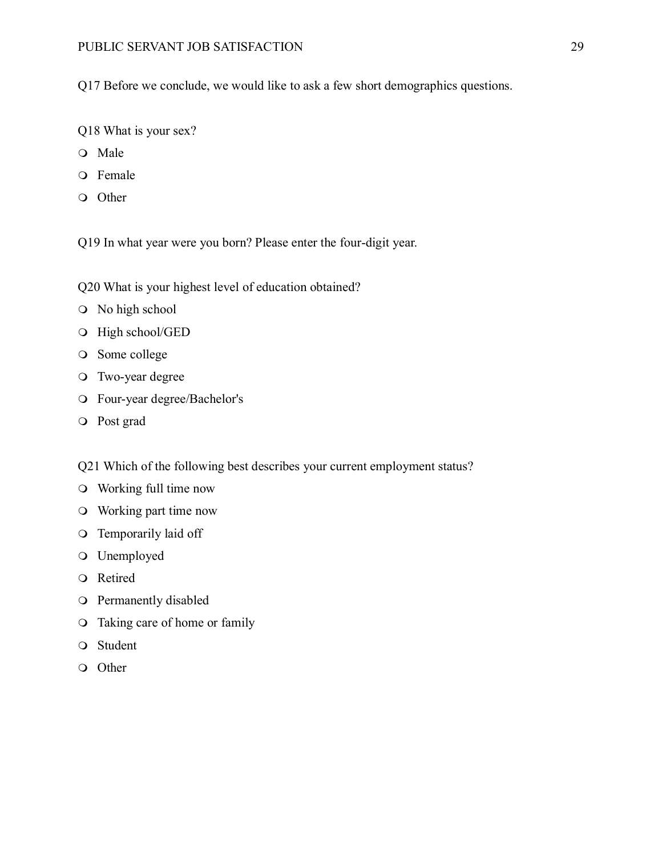Q17 Before we conclude, we would like to ask a few short demographics questions.

- Q18 What is your sex?
- Male
- Female
- Other

Q19 In what year were you born? Please enter the four-digit year.

Q20 What is your highest level of education obtained?

- No high school
- $\odot$  High school/GED
- O Some college
- Two-year degree
- Four-year degree/Bachelor's
- Post grad

Q21 Which of the following best describes your current employment status?

- Working full time now
- Working part time now
- Temporarily laid off
- Unemployed
- Retired
- Permanently disabled
- Taking care of home or family
- Student
- Other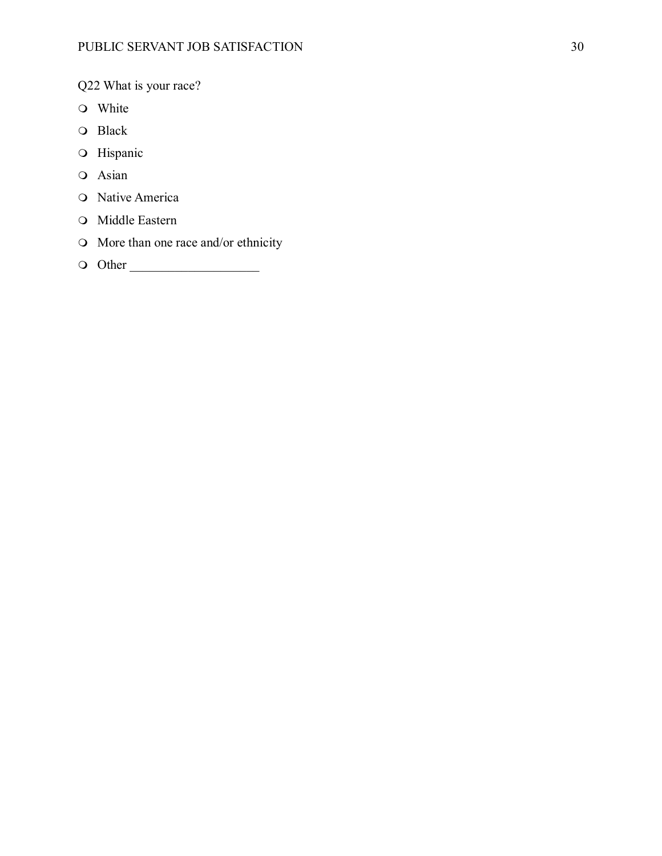Q22 What is your race?

- White
- O Black
- O Hispanic
- Asian
- O Native America
- O Middle Eastern
- More than one race and/or ethnicity
- Other \_\_\_\_\_\_\_\_\_\_\_\_\_\_\_\_\_\_\_\_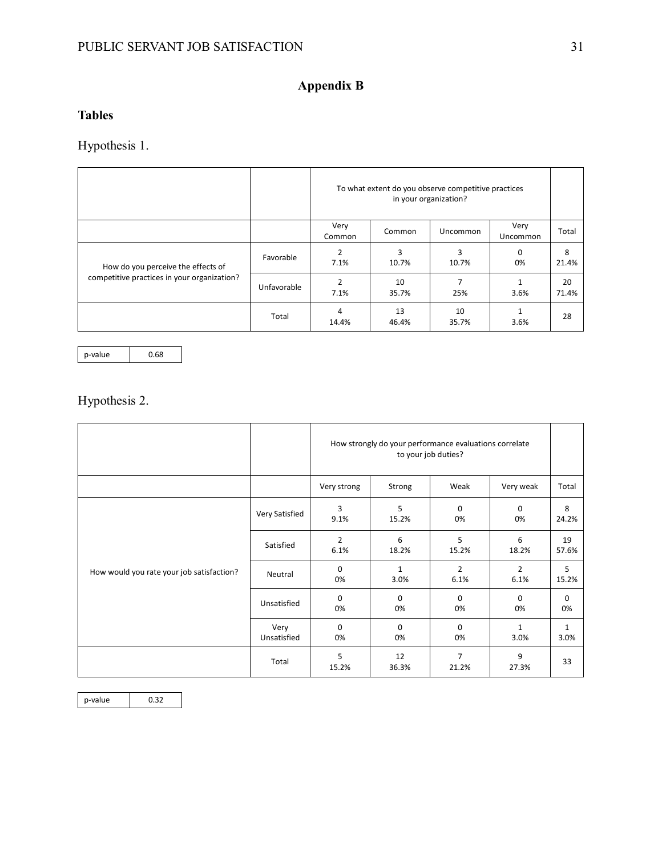# **Appendix B**

# **Tables**

Hypothesis 1.

|                                             |             | To what extent do you observe competitive practices<br>in your organization? |             |             |                  |             |
|---------------------------------------------|-------------|------------------------------------------------------------------------------|-------------|-------------|------------------|-------------|
|                                             |             | Very<br>Common                                                               | Common      | Uncommon    | Very<br>Uncommon | Total       |
| How do you perceive the effects of          | Favorable   | $\overline{2}$<br>7.1%                                                       | ς<br>10.7%  | 3<br>10.7%  | $\Omega$<br>0%   | 8<br>21.4%  |
| competitive practices in your organization? | Unfavorable | $\mathcal{P}$<br>7.1%                                                        | 10<br>35.7% | 25%         | 3.6%             | 20<br>71.4% |
|                                             | Total       | 4<br>14.4%                                                                   | 13<br>46.4% | 10<br>35.7% | 3.6%             | 28          |

 $p$ -value  $0.68$ 

Hypothesis 2.

|                                           |                     | How strongly do your performance evaluations correlate<br>to your job duties? |                      |                         |                        |                      |
|-------------------------------------------|---------------------|-------------------------------------------------------------------------------|----------------------|-------------------------|------------------------|----------------------|
|                                           |                     | Very strong                                                                   | Strong               | Weak                    | Very weak              | Total                |
| How would you rate your job satisfaction? | Very Satisfied      | 3<br>9.1%                                                                     | 5<br>15.2%           | $\mathbf 0$<br>0%       | $\mathbf 0$<br>0%      | 8<br>24.2%           |
|                                           | Satisfied           | $\overline{2}$<br>6.1%                                                        | 6<br>18.2%           | 5<br>15.2%              | 6<br>18.2%             | 19<br>57.6%          |
|                                           | Neutral             | $\Omega$<br>0%                                                                | $\mathbf{1}$<br>3.0% | $\overline{2}$<br>6.1%  | $\overline{2}$<br>6.1% | 5<br>15.2%           |
|                                           | Unsatisfied         | $\mathbf 0$<br>0%                                                             | $\mathbf 0$<br>0%    | $\mathbf 0$<br>0%       | $\mathbf 0$<br>0%      | 0<br>0%              |
|                                           | Very<br>Unsatisfied | $\Omega$<br>0%                                                                | $\Omega$<br>0%       | $\mathbf 0$<br>0%       | $\mathbf{1}$<br>3.0%   | $\mathbf{1}$<br>3.0% |
|                                           | Total               | 5<br>15.2%                                                                    | 12<br>36.3%          | $\overline{7}$<br>21.2% | 9<br>27.3%             | 33                   |

p-value 0.32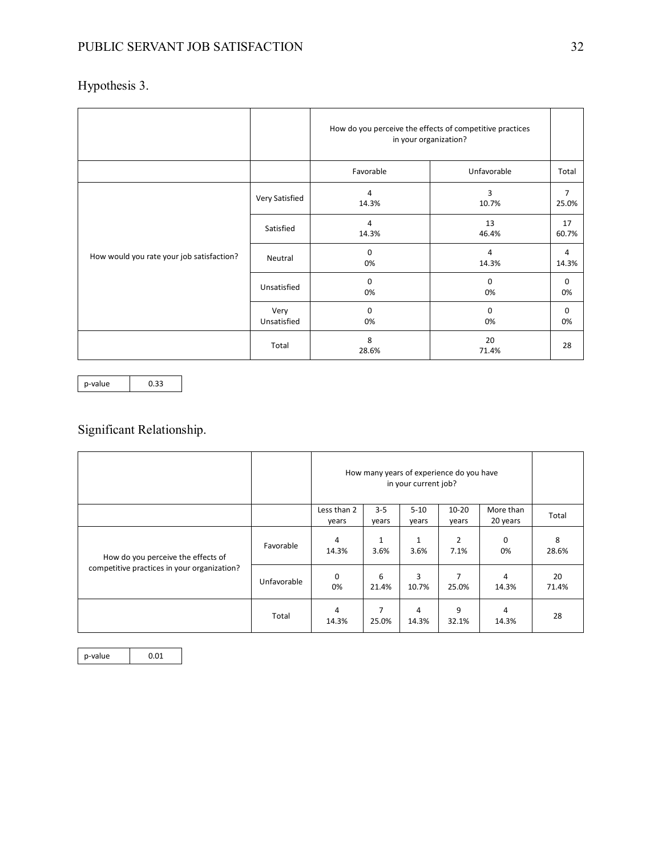# Hypothesis 3.

|                                           |                     | How do you perceive the effects of competitive practices<br>in your organization? |                         |                         |
|-------------------------------------------|---------------------|-----------------------------------------------------------------------------------|-------------------------|-------------------------|
|                                           |                     | Favorable                                                                         | Unfavorable             | Total                   |
|                                           | Very Satisfied      | 4<br>14.3%                                                                        | 3<br>10.7%              | $\overline{7}$<br>25.0% |
| How would you rate your job satisfaction? | Satisfied           | 4<br>14.3%                                                                        | 13<br>46.4%             | 17<br>60.7%             |
|                                           | Neutral             | 0<br>0%                                                                           | $\overline{4}$<br>14.3% | 4<br>14.3%              |
|                                           | Unsatisfied         | 0<br>0%                                                                           | 0<br>0%                 | 0<br>0%                 |
|                                           | Very<br>Unsatisfied | 0<br>0%                                                                           | 0<br>0%                 | $\mathbf 0$<br>0%       |
|                                           | Total               | 8<br>28.6%                                                                        | 20<br>71.4%             | 28                      |

p-value 0.33

# Significant Relationship.

|                                             |             | How many years of experience do you have<br>in your current job? |                      |                   |                        |                       |             |
|---------------------------------------------|-------------|------------------------------------------------------------------|----------------------|-------------------|------------------------|-----------------------|-------------|
|                                             |             | Less than 2<br>years                                             | $3 - 5$<br>years     | $5 - 10$<br>years | $10 - 20$<br>years     | More than<br>20 years | Total       |
| How do you perceive the effects of          | Favorable   | 4<br>14.3%                                                       | $\mathbf{1}$<br>3.6% | 1<br>3.6%         | $\overline{2}$<br>7.1% | 0<br>0%               | 8<br>28.6%  |
| competitive practices in your organization? | Unfavorable | $\mathbf 0$<br>0%                                                | 6<br>21.4%           | 3<br>10.7%        | 7<br>25.0%             | 4<br>14.3%            | 20<br>71.4% |
|                                             | Total       | 4<br>14.3%                                                       | 7<br>25.0%           | 4<br>14.3%        | 9<br>32.1%             | 4<br>14.3%            | 28          |

 $p$ -value  $\Big|$  0.01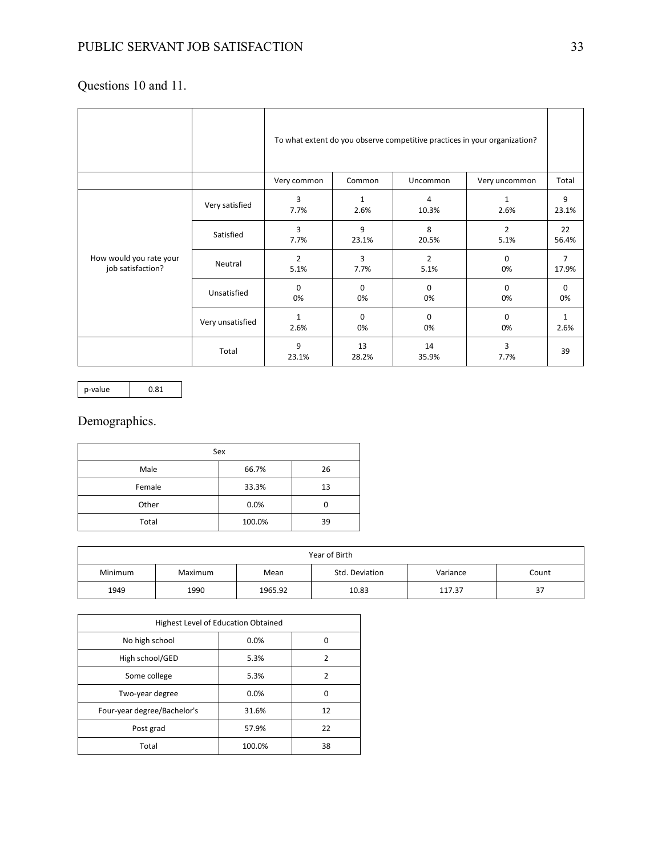# Questions 10 and 11.

|                                              |                  | To what extent do you observe competitive practices in your organization? |                   |                        |                      |                      |  |
|----------------------------------------------|------------------|---------------------------------------------------------------------------|-------------------|------------------------|----------------------|----------------------|--|
|                                              |                  | Very common                                                               | Common            | Uncommon               | Very uncommon        | Total                |  |
|                                              | Very satisfied   | 3<br>7.7%                                                                 | 1<br>2.6%         | 4<br>10.3%             | $\mathbf{1}$<br>2.6% | 9<br>23.1%           |  |
|                                              | Satisfied        | 3<br>7.7%                                                                 | 9<br>23.1%        | 8<br>20.5%             | 2<br>5.1%            | 22<br>56.4%          |  |
| How would you rate your<br>job satisfaction? | Neutral          | $\overline{2}$<br>5.1%                                                    | 3<br>7.7%         | $\overline{2}$<br>5.1% | $\mathbf 0$<br>0%    | 7<br>17.9%           |  |
|                                              | Unsatisfied      | $\Omega$<br>0%                                                            | $\Omega$<br>0%    | $\Omega$<br>0%         | $\Omega$<br>0%       | $\mathbf 0$<br>0%    |  |
|                                              | Very unsatisfied | $\mathbf{1}$<br>2.6%                                                      | $\mathbf 0$<br>0% | $\Omega$<br>0%         | $\Omega$<br>0%       | $\mathbf{1}$<br>2.6% |  |
|                                              | Total            | 9<br>23.1%                                                                | 13<br>28.2%       | 14<br>35.9%            | 3<br>7.7%            | 39                   |  |

p-value 0.81

# Demographics.

| Sex    |        |    |  |  |  |  |
|--------|--------|----|--|--|--|--|
| Male   | 66.7%  | 26 |  |  |  |  |
| Female | 33.3%  | 13 |  |  |  |  |
| Other  | 0.0%   | 0  |  |  |  |  |
| Total  | 100.0% | 39 |  |  |  |  |

| Year of Birth |         |         |                |          |       |
|---------------|---------|---------|----------------|----------|-------|
| Minimum       | Maximum | Mean    | Std. Deviation | Variance | Count |
| 1949          | 1990    | 1965.92 | 10.83          | 117.37   | 37    |

| Highest Level of Education Obtained |        |    |  |  |  |
|-------------------------------------|--------|----|--|--|--|
| No high school                      | 0.0%   | Ω  |  |  |  |
| High school/GED                     | 5.3%   | 2  |  |  |  |
| Some college                        | 5.3%   | 2  |  |  |  |
| Two-year degree                     | 0.0%   | 0  |  |  |  |
| Four-year degree/Bachelor's         | 31.6%  | 12 |  |  |  |
| Post grad                           | 57.9%  | 22 |  |  |  |
| Total                               | 100.0% | 38 |  |  |  |